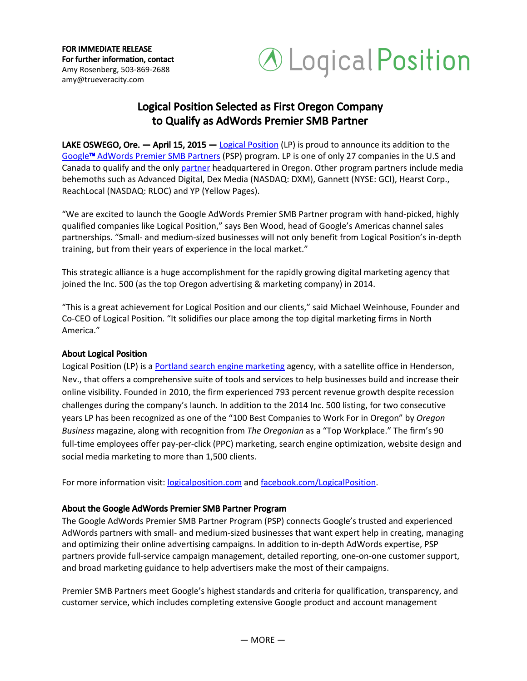FOR IMMEDIATE RELEASE For further information, contact Amy Rosenberg, 503-869-2688 amy@trueveracity.com



## Logical Position Selected as First Oregon Company to Qualify as AdWords Premier SMB Partner

**LAKE OSWEGO, Ore.**  $-$  April 15, 2015  $-$  Logical [Position](http://www.logicalposition.com/) (LP) is proud to announce its addition to the [Google](http://www.google.com/ads/premiersmbpartner/)[™](http://www.google.com/ads/premiersmbpartner/) [AdWords](http://www.google.com/ads/premiersmbpartner/) Premier SMB Partners (PSP) program. LP is one of only 27 companies in the U.S and Canada to qualify and the only [partner](http://www.google.com/ads/premiersmbpartner/advertisers-findpartner.html#tab=partner-logicalposition-com) headquartered in Oregon. Other program partners include media behemoths such as Advanced Digital, Dex Media (NASDAQ: DXM), Gannett (NYSE: GCI), Hearst Corp., ReachLocal (NASDAQ: RLOC) and YP (Yellow Pages).

"We are excited to launch the Google AdWords Premier SMB Partner program with hand-picked, highly qualified companies like Logical Position," says Ben Wood, head of Google's Americas channel sales partnerships. "Small- and medium-sized businesses will not only benefit from Logical Position's in-depth training, but from their years of experience in the local market."

This strategic alliance is a huge accomplishment for the rapidly growing digital marketing agency that joined the Inc. 500 (as the top Oregon advertising & marketing company) in 2014.

"This is a great achievement for Logical Position and our clients," said Michael Weinhouse, Founder and Co-CEO of Logical Position. "It solidifies our place among the top digital marketing firms in North America."

## About Logical Position

Logical Position (LP) is a Portland search engine [marketing](http://www.logicalposition.com/portland-internet-marketing) agency, with a satellite office in Henderson, Nev., that offers a comprehensive suite of tools and services to help businesses build and increase their online visibility. Founded in 2010, the firm experienced 793 percent revenue growth despite recession challenges during the company's launch. In addition to the 2014 Inc. 500 listing, for two consecutive years LP has been recognized as one of the "100 Best Companies to Work For in Oregon" by *Oregon Business* magazine, along with recognition from *The Oregonian* as a "Top Workplace." The firm's 90 full-time employees offer pay-per-click (PPC) marketing, search engine optimization, website design and social media marketing to more than 1,500 clients.

For more information visit: [logicalposition.com](http://www.logicalposition.com/) and [facebook.com/LogicalPosition.](https://www.facebook.com/LogicalPosition)

## About the Google AdWords Premier SMB Partner Program

The Google AdWords Premier SMB Partner Program (PSP) connects Google's trusted and experienced AdWords partners with small- and medium-sized businesses that want expert help in creating, managing and optimizing their online advertising campaigns. In addition to in-depth AdWords expertise, PSP partners provide full-service campaign management, detailed reporting, one-on-one customer support, and broad marketing guidance to help advertisers make the most of their campaigns.

Premier SMB Partners meet Google's highest standards and criteria for qualification, transparency, and customer service, which includes completing extensive Google product and account management